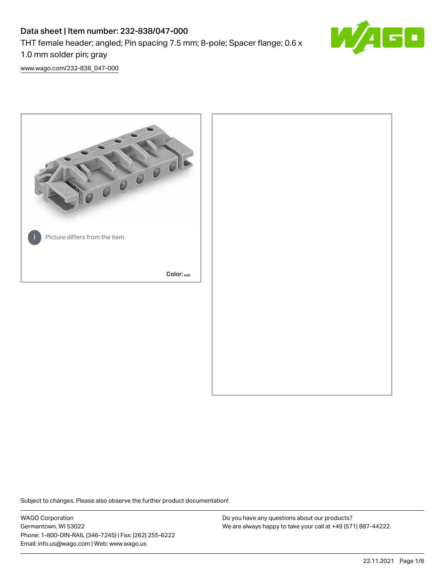# Data sheet | Item number: 232-838/047-000

THT female header; angled; Pin spacing 7.5 mm; 8-pole; Spacer flange; 0.6 x

1.0 mm solder pin; gray

[www.wago.com/232-838\\_047-000](http://www.wago.com/232-838_047-000)



Subject to changes. Please also observe the further product documentation!

WAGO Corporation Germantown, WI 53022 Phone: 1-800-DIN-RAIL (346-7245) | Fax: (262) 255-6222 Email: info.us@wago.com | Web: www.wago.us

Do you have any questions about our products? We are always happy to take your call at +49 (571) 887-44222.

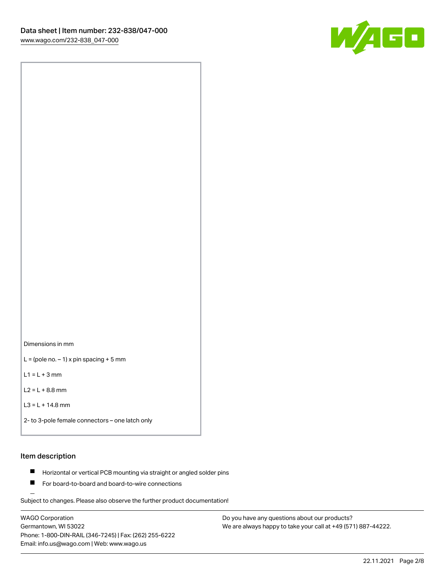

Dimensions in mm

 $L =$  (pole no.  $-1$ ) x pin spacing + 5 mm

 $L1 = L + 3$  mm

 $L2 = L + 8.8$  mm

```
L3 = L + 14.8 mm
```

```
2- to 3-pole female connectors – one latch only
```
## Item description

- **Horizontal or vertical PCB mounting via straight or angled solder pins**
- For board-to-board and board-to-wire connections

Subject to changes. Please also observe the further product documentation!

WAGO Corporation Germantown, WI 53022 Phone: 1-800-DIN-RAIL (346-7245) | Fax: (262) 255-6222 Email: info.us@wago.com | Web: www.wago.us

Do you have any questions about our products? We are always happy to take your call at +49 (571) 887-44222.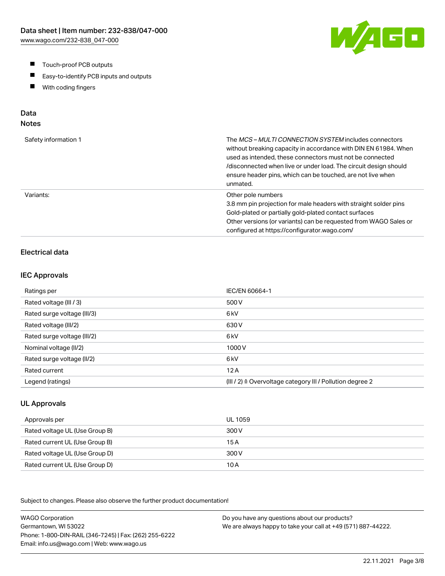- $\blacksquare$ Touch-proof PCB outputs
- $\blacksquare$ Easy-to-identify PCB inputs and outputs
- With coding fingers  $\blacksquare$

# Data

# Notes

| Safety information 1 | The <i>MCS – MULTI CONNECTION SYSTEM</i> includes connectors<br>without breaking capacity in accordance with DIN EN 61984. When<br>used as intended, these connectors must not be connected<br>/disconnected when live or under load. The circuit design should<br>ensure header pins, which can be touched, are not live when<br>unmated. |
|----------------------|--------------------------------------------------------------------------------------------------------------------------------------------------------------------------------------------------------------------------------------------------------------------------------------------------------------------------------------------|
| Variants:            | Other pole numbers<br>3.8 mm pin projection for male headers with straight solder pins<br>Gold-plated or partially gold-plated contact surfaces<br>Other versions (or variants) can be requested from WAGO Sales or<br>configured at https://configurator.wago.com/                                                                        |

## Electrical data

#### IEC Approvals

| Ratings per                 | IEC/EN 60664-1                                                       |
|-----------------------------|----------------------------------------------------------------------|
| Rated voltage (III / 3)     | 500 V                                                                |
| Rated surge voltage (III/3) | 6 <sub>kV</sub>                                                      |
| Rated voltage (III/2)       | 630 V                                                                |
| Rated surge voltage (III/2) | 6 <sub>kV</sub>                                                      |
| Nominal voltage (II/2)      | 1000V                                                                |
| Rated surge voltage (II/2)  | 6 <sub>k</sub> V                                                     |
| Rated current               | 12A                                                                  |
| Legend (ratings)            | (III / 2) $\triangleq$ Overvoltage category III / Pollution degree 2 |

### UL Approvals

| Approvals per                  | UL 1059 |
|--------------------------------|---------|
| Rated voltage UL (Use Group B) | 300 V   |
| Rated current UL (Use Group B) | 15 A    |
| Rated voltage UL (Use Group D) | 300 V   |
| Rated current UL (Use Group D) | 10 A    |

Subject to changes. Please also observe the further product documentation!

WAGO Corporation Germantown, WI 53022 Phone: 1-800-DIN-RAIL (346-7245) | Fax: (262) 255-6222 Email: info.us@wago.com | Web: www.wago.us Do you have any questions about our products? We are always happy to take your call at +49 (571) 887-44222.

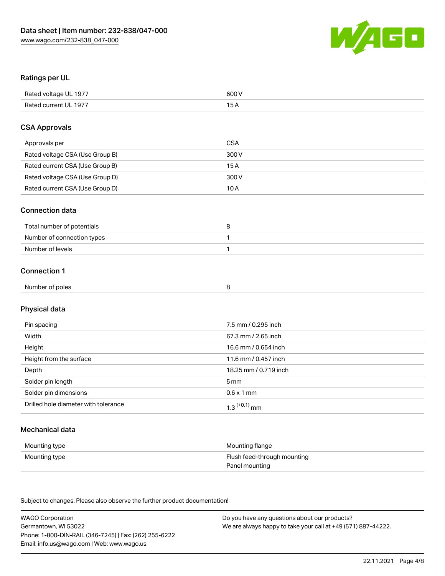

### Ratings per UL

| Rated voltage UL 1977 | 600 V |
|-----------------------|-------|
| Rated current UL 1977 |       |

### CSA Approvals

| Approvals per                   | CSA   |
|---------------------------------|-------|
| Rated voltage CSA (Use Group B) | 300 V |
| Rated current CSA (Use Group B) | 15 A  |
| Rated voltage CSA (Use Group D) | 300 V |
| Rated current CSA (Use Group D) | 10 A  |

#### Connection data

| Total number of potentials |  |
|----------------------------|--|
| Number of connection types |  |
| Number of levels           |  |

### Connection 1

| Number of poles |  |
|-----------------|--|
|                 |  |

# Physical data

| Pin spacing                          | 7.5 mm / 0.295 inch   |
|--------------------------------------|-----------------------|
| Width                                | 67.3 mm / 2.65 inch   |
| Height                               | 16.6 mm / 0.654 inch  |
| Height from the surface              | 11.6 mm / 0.457 inch  |
| Depth                                | 18.25 mm / 0.719 inch |
| Solder pin length                    | 5 mm                  |
| Solder pin dimensions                | $0.6 \times 1$ mm     |
| Drilled hole diameter with tolerance | $1.3$ $(+0.1)$ mm     |

## Mechanical data

| Mounting type | Mounting flange             |
|---------------|-----------------------------|
| Mounting type | Flush feed-through mounting |
|               | Panel mounting              |

Subject to changes. Please also observe the further product documentation!

| <b>WAGO Corporation</b>                                | Do you have any questions about our products?                 |
|--------------------------------------------------------|---------------------------------------------------------------|
| Germantown, WI 53022                                   | We are always happy to take your call at +49 (571) 887-44222. |
| Phone: 1-800-DIN-RAIL (346-7245)   Fax: (262) 255-6222 |                                                               |
| Email: info.us@wago.com   Web: www.wago.us             |                                                               |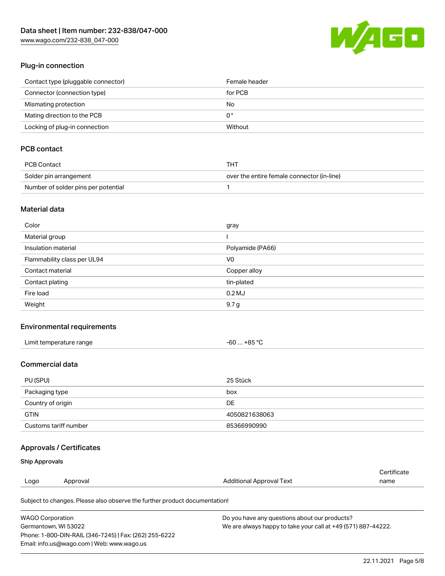[www.wago.com/232-838\\_047-000](http://www.wago.com/232-838_047-000)



### Plug-in connection

| Contact type (pluggable connector) | Female header |
|------------------------------------|---------------|
| Connector (connection type)        | for PCB       |
| Mismating protection               | No            |
| Mating direction to the PCB        | 0°            |
| Locking of plug-in connection      | Without       |

# PCB contact

| PCB Contact                         | THT                                        |
|-------------------------------------|--------------------------------------------|
| Solder pin arrangement              | over the entire female connector (in-line) |
| Number of solder pins per potential |                                            |

### Material data

| Color                       | gray             |
|-----------------------------|------------------|
| Material group              |                  |
| Insulation material         | Polyamide (PA66) |
| Flammability class per UL94 | V <sub>0</sub>   |
| Contact material            | Copper alloy     |
| Contact plating             | tin-plated       |
| Fire load                   | $0.2$ MJ         |
| Weight                      | 9.7 <sub>g</sub> |

#### Environmental requirements

| Limit temperature range | -60 … +85 °C |
|-------------------------|--------------|
|-------------------------|--------------|

## Commercial data

| PU (SPU)              | 25 Stück      |
|-----------------------|---------------|
| Packaging type        | box           |
| Country of origin     | DE            |
| <b>GTIN</b>           | 4050821638063 |
| Customs tariff number | 85366990990   |

## Approvals / Certificates

#### Ship Approvals

| Logo | Approval | <b>Additional Approval Text</b> | name                  |
|------|----------|---------------------------------|-----------------------|
|      |          |                                 | ' <i>∶</i> ertificate |

Subject to changes. Please also observe the further product documentation!

| <b>WAGO Corporation</b>                                | Do you have any questions about our products?                 |
|--------------------------------------------------------|---------------------------------------------------------------|
| Germantown, WI 53022                                   | We are always happy to take your call at +49 (571) 887-44222. |
| Phone: 1-800-DIN-RAIL (346-7245)   Fax: (262) 255-6222 |                                                               |
| Email: info.us@wago.com   Web: www.wago.us             |                                                               |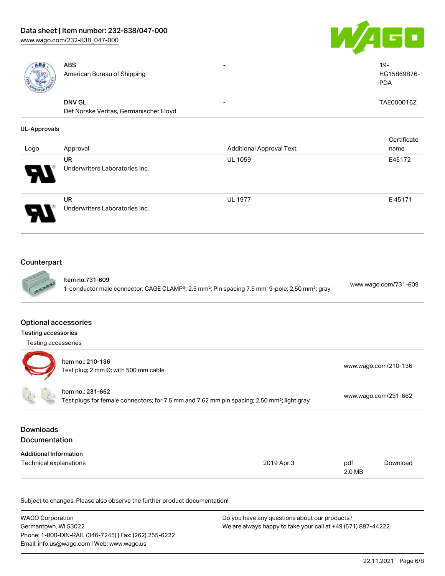

ABS American Bureau of Shipping

HG15869876- PDA

- 19-

DNV GL

Det Norske Veritas, Germanischer Lloyd - TAE000016Z

### UL-Approvals

| Logo                       | Approval                                    | <b>Additional Approval Text</b> | Certificate<br>name |
|----------------------------|---------------------------------------------|---------------------------------|---------------------|
| $\boldsymbol{\mathcal{P}}$ | <b>UR</b><br>Underwriters Laboratories Inc. | <b>UL 1059</b>                  | E45172              |
| J                          | <b>UR</b><br>Underwriters Laboratories Inc. | <b>UL 1977</b>                  | E45171              |

## Counterpart



Item no.731-609 1-conductor male connector; CAGE CLAMP®; 2.5 mm²; Pin spacing 7.5 mm; 9-pole; 2,50 mm²; gray [www.wago.com/731-609](https://www.wago.com/731-609)

# Optional accessories

| Testing accessories |
|---------------------|

| Testing accessories |                                                                                                                              |                      |
|---------------------|------------------------------------------------------------------------------------------------------------------------------|----------------------|
|                     | Item no.: 210-136<br>Test plug; 2 mm Ø; with 500 mm cable                                                                    | www.wago.com/210-136 |
|                     | Item no.: 231-662<br>Test plugs for female connectors; for 7.5 mm and 7.62 mm pin spacing; 2,50 mm <sup>2</sup> ; light gray | www.wago.com/231-662 |
| Downloads           |                                                                                                                              |                      |

# Documentation

| <b>Additional Information</b> |            |        |          |
|-------------------------------|------------|--------|----------|
| Technical explanations        | 2019 Apr 3 | pdf    | Download |
|                               |            | 2.0 MB |          |

Subject to changes. Please also observe the further product documentation!

| <b>WAGO Corporation</b>                                | Do you have any questions about our products?                 |
|--------------------------------------------------------|---------------------------------------------------------------|
| Germantown, WI 53022                                   | We are always happy to take your call at +49 (571) 887-44222. |
| Phone: 1-800-DIN-RAIL (346-7245)   Fax: (262) 255-6222 |                                                               |
| Email: info.us@wago.com   Web: www.wago.us             |                                                               |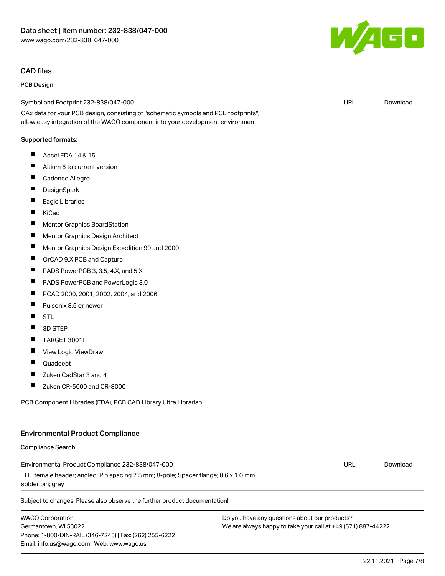#### CAD files

#### PCB Design

Symbol and Footprint 232-838/047-000

CAx data for your PCB design, consisting of "schematic symbols and PCB footprints", allow easy integration of the WAGO component into your development environment.

#### Supported formats:

- $\blacksquare$ Accel EDA 14 & 15
- $\blacksquare$ Altium 6 to current version
- П Cadence Allegro
- П **DesignSpark**
- $\blacksquare$ Eagle Libraries
- $\blacksquare$ KiCad
- $\blacksquare$ Mentor Graphics BoardStation
- $\blacksquare$ Mentor Graphics Design Architect
- П Mentor Graphics Design Expedition 99 and 2000
- П OrCAD 9.X PCB and Capture
- **The State** PADS PowerPCB 3, 3.5, 4.X, and 5.X
- $\blacksquare$ PADS PowerPCB and PowerLogic 3.0
- $\blacksquare$ PCAD 2000, 2001, 2002, 2004, and 2006
- П Pulsonix 8.5 or newer
- П **STL**
- П 3D STEP
- П TARGET 3001!
- $\blacksquare$ View Logic ViewDraw
- П Quadcept
- П Zuken CadStar 3 and 4
- $\blacksquare$ Zuken CR-5000 and CR-8000

PCB Component Libraries (EDA), PCB CAD Library Ultra Librarian

#### Environmental Product Compliance

#### Compliance Search

Environmental Product Compliance 232-838/047-000 THT female header; angled; Pin spacing 7.5 mm; 8-pole; Spacer flange; 0.6 x 1.0 mm solder pin; gray

Subject to changes. Please also observe the further product documentation!

WAGO Corporation Germantown, WI 53022 Phone: 1-800-DIN-RAIL (346-7245) | Fax: (262) 255-6222 Email: info.us@wago.com | Web: www.wago.us

Do you have any questions about our products? We are always happy to take your call at +49 (571) 887-44222.



URL [Download](https://www.wago.com/global/d/UltraLibrarian_URLS_232-838_047-000)

URL [Download](https://www.wago.com/global/d/ComplianceLinkMediaContainer_232-838_047-000)